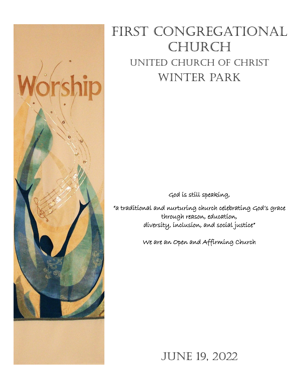

# FIRST CONGREGATIONAL **CHURCH** United Church of Christ Winter Park

God is still speaking,

"a traditional and nurturing church celebrating God's grace through reason, education, diversity, inclusion, and social justice"

We are an Open and Affirming Church

JUNE 19, 2022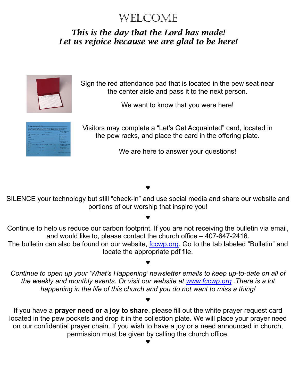# WELCOME

# *This is the day that the Lord has made! Let us rejoice because we are glad to be here!*



Sign the red attendance pad that is located in the pew seat near the center aisle and pass it to the next person.

We want to know that you were here!

|                                            |                             | So that we may get to know you be for and minister to you more effectively.<br>please complete this card and place it in the offering plate. Thank you? |                                                           |
|--------------------------------------------|-----------------------------|---------------------------------------------------------------------------------------------------------------------------------------------------------|-----------------------------------------------------------|
| <b>TIME</b>                                |                             | <b>Charles Brown</b>                                                                                                                                    | <b>IN EAST CREEK WITH</b><br>APPLICABLE                   |
| Der Usse Det Dens.<br><b>CALIFACTURERS</b> |                             |                                                                                                                                                         | <b>Throughouse</b>                                        |
| $\frac{1}{2}$                              | <b>Believerstadten</b>      |                                                                                                                                                         |                                                           |
| <b>Countries can sime</b>                  | <b>Thomas H</b>             |                                                                                                                                                         |                                                           |
| <b>Tours</b>                               | <b>County</b>               |                                                                                                                                                         | <b>TRESPASSMENT OF</b><br><b>SHAW A FIGURE</b>            |
| <b>SERVICE COMPA</b><br><b>Children</b>    | Civic Lines I learn 1 learn | <b>STATISTICS</b>                                                                                                                                       | <b>E. WHAT HE IN 2010 POW</b><br>China's skills, mass and |
| <b>Show</b>                                | <b>See New</b>              | c                                                                                                                                                       | 1 совмена<br>receive Africa Area L.                       |
| <b>Signal</b>                              | <b>Service</b><br>--        | m                                                                                                                                                       | <b>I Calab</b>                                            |

Visitors may complete a "Let's Get Acquainted" card, located in the pew racks, and place the card in the offering plate.

We are here to answer your questions!

#### ♥

SILENCE your technology but still "check-in" and use social media and share our website and portions of our worship that inspire you!

#### ♥

Continue to help us reduce our carbon footprint. If you are not receiving the bulletin via email, and would like to, please contact the church office – 407-647-2416.

The bulletin can also be found on our website, fccwp.org. Go to the tab labeled "Bulletin" and locate the appropriate pdf file.

### ♥

*Continue to open up your 'What's Happening' newsletter emails to keep up-to-date on all of the weekly and monthly events. Or visit our website at [www.fccwp.org](http://www.fccwp.org/) .There is a lot happening in the life of this church and you do not want to miss a thing!*

#### ♥

If you have a **prayer need or a joy to share**, please fill out the white prayer request card located in the pew pockets and drop it in the collection plate. We will place your prayer need on our confidential prayer chain. If you wish to have a joy or a need announced in church, permission must be given by calling the church office.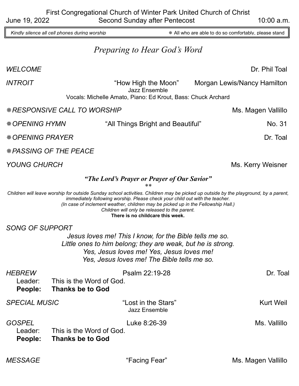Kindly silence all cell phones during worship **All with the Stand Windes** All who are able to do so comfortably, please stand

# *Preparing to Hear God's Word*

#### *WELCOME* Dr. Phil Toal

*INTROIT* The Summan Structure of the Moon and Morgan Lewis/Nancy Hamilton Jazz Ensemble Vocals: Michelle Amato, Piano: Ed Krout, Bass: Chuck Archard

*RESPONSIVE CALL TO WORSHIP* MS. Magen Vallillo

\* OPENING HYMN **Things Bright and Beautiful** Things Bright and Beautiful All

\* O*PENING PRAYER* Dr. Toal

*PASSING OF THE PEACE*

*YOUNG CHURCH* Ms. Kerry Weisner

#### *"The Lord's Prayer or Prayer of Our Savior"*

*\*\**

*Children will leave worship for outside Sunday school activities. Children may be picked up outside by the playground, by a parent, immediately following worship. Please check your child out with the teacher. (In case of inclement weather, children may be picked up in the Fellowship Hall.) Children will only be released to the parent.* **There is no childcare this week.**

*SONG OF SUPPORT*

*Jesus loves me! This I know, for the Bible tells me so.*  Little ones to him belong; they are weak, but he is strong. *Yes, Jesus loves me! Yes, Jesus loves me! Yes, Jesus loves me! The Bible tells me so.*

| <b>HEBREW</b><br>Leader:<br>People: | This is the Word of God.<br><b>Thanks be to God</b> | Psalm 22:19-28                              | Dr. Toal         |
|-------------------------------------|-----------------------------------------------------|---------------------------------------------|------------------|
| <b>SPECIAL MUSIC</b>                |                                                     | "Lost in the Stars"<br><b>Jazz Ensemble</b> | <b>Kurt Weil</b> |
| <b>GOSPEL</b><br>Leader:<br>People: | This is the Word of God.<br><b>Thanks be to God</b> | Luke 8:26-39                                | Ms. Vallillo     |
|                                     |                                                     |                                             |                  |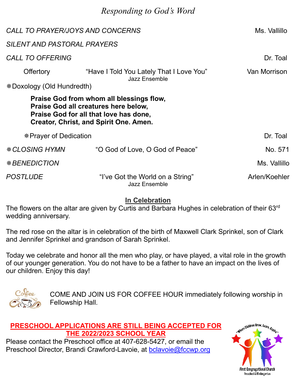# *Responding to God's Word*

| CALL TO PRAYER/JOYS AND CONCERNS   | Ms. Vallillo                                                                                                                                                                |               |
|------------------------------------|-----------------------------------------------------------------------------------------------------------------------------------------------------------------------------|---------------|
| <b>SILENT AND PASTORAL PRAYERS</b> |                                                                                                                                                                             |               |
| <b>CALL TO OFFERING</b>            |                                                                                                                                                                             | Dr. Toal      |
| <b>Offertory</b>                   | Van Morrison                                                                                                                                                                |               |
| *Doxology (Old Hundredth)          | <b>Jazz Ensemble</b>                                                                                                                                                        |               |
|                                    | Praise God from whom all blessings flow,<br>Praise God all creatures here below,<br>Praise God for all that love has done,<br><b>Creator, Christ, and Spirit One. Amen.</b> |               |
| * Prayer of Dedication             |                                                                                                                                                                             | Dr. Toal      |
| <i><b>* CLOSING HYMN</b></i>       | "O God of Love, O God of Peace"                                                                                                                                             | No. 571       |
| <b><i>*BENEDICTION</i></b>         |                                                                                                                                                                             | Ms. Vallillo  |
| <b>POSTLUDE</b>                    | "I've Got the World on a String"<br><b>Jazz Ensemble</b>                                                                                                                    | Arlen/Koehler |

#### **In Celebration**

The flowers on the altar are given by Curtis and Barbara Hughes in celebration of their 63rd wedding anniversary.

The red rose on the altar is in celebration of the birth of Maxwell Clark Sprinkel, son of Clark and Jennifer Sprinkel and grandson of Sarah Sprinkel.

Today we celebrate and honor all the men who play, or have played, a vital role in the growth of our younger generation. You do not have to be a father to have an impact on the lives of our children. Enjoy this day!



COME AND JOIN US FOR COFFEE HOUR immediately following worship in Fellowship Hall.

#### **PRESCHOOL APPLICATIONS ARE STILL BEING ACCEPTED FOR THE 2022/2023 SCHOOL YEAR**

Please contact the Preschool office at 407-628-5427, or email the Preschool Director, Brandi Crawford-Lavoie, at [bclavoie@fccwp.org](mailto:bclavoie@fccwp.org)

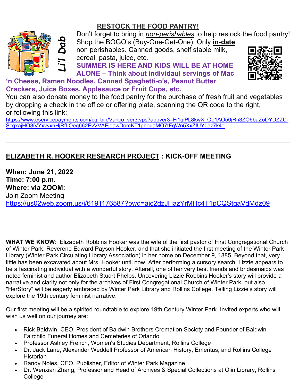# **RESTOCK THE FOOD PANTRY!**



Don't forget to bring in *non-perishables* to help restock the food pantry! Shop the BOGO's (Buy-One-Get-One). Only **in-date**

non perishables. Canned goods, shelf stable milk, cereal, pasta, juice, etc.

**SUMMER IS HERE AND KIDS WILL BE AT HOME ALONE – Think about individaul servings of Mac** 



### **'n Cheese, Ramen Noodles, Canned Spaghetti-o's, Peanut Butter Crackers, Juice Boxes, Applesauce or Fruit Cups, etc.**

You can also donate money to the food pantry for the purchase of fresh fruit and vegetables by dropping a check in the office or offering plate, scanning the QR code to the right, or following this link:

[https://www.eservicepayments.com/cgi-bin/Vanco\\_ver3.vps?appver3=Fi1giPL8kwX\\_Oe1AO50jRn3ZO6baZoDYDZZU-](https://www.eservicepayments.com/cgi-bin/Vanco_ver3.vps?appver3=Fi1giPL8kwX_Oe1AO50jRn3ZO6baZoDYDZZU-ScqxajHO3iVYxvvxhHjRfLOeq662EvVVAEjqawDomKT1pbouaMO7tFqWn5XxZIUYLez7k4=)[ScqxajHO3iVYxvvxhHjRfLOeq662EvVVAEjqawDomKT1pbouaMO7tFqWn5XxZIUYLez7k4=](https://www.eservicepayments.com/cgi-bin/Vanco_ver3.vps?appver3=Fi1giPL8kwX_Oe1AO50jRn3ZO6baZoDYDZZU-ScqxajHO3iVYxvvxhHjRfLOeq662EvVVAEjqawDomKT1pbouaMO7tFqWn5XxZIUYLez7k4=)

# **ELIZABETH R. HOOKER RESEARCH PROJECT : KICK-OFF MEETING**

**When: June 21, 2022 Time: 7:00 p.m. Where: via ZOOM:**  Join Zoom Meeting <https://us02web.zoom.us/j/6191176587?pwd=ajc2dzJHazYrMHc4T1pCQStqaVdMdz09>

**WHAT WE KNOW**: Elizabeth Robbins Hooker was the wife of the first pastor of First Congregational Church of Winter Park, Reverend Edward Payson Hooker, and that she initiated the first meeting of the Winter Park Library (Winter Park Circulating Library Association) in her home on December 9, 1885. Beyond that, very little has been excavated about Mrs. Hooker until now. After performing a cursory search, Lizzie appears to be a fascinating individual with a wonderful story. Afterall, one of her very best friends and bridesmaids was noted feminist and author Elizabeth Stuart Phelps. Uncovering Lizzie Robbins Hooker's story will provide a narrative and clarity not only for the archives of First Congregational Church of Winter Park, but also "HerStory" will be eagerly embraced by Winter Park Library and Rollins College. Telling Lizzie's story will explore the 19th century feminist narrative.

Our first meeting will be a spirited roundtable to explore 19th Century Winter Park. Invited experts who will wish us well on our journey are:

- Rick Baldwin, CEO, President of Baldwin Brothers Cremation Society and Founder of Baldwin Fairchild Funeral Homes and Cemeteries of Orlando
- Professor Ashley French, Women's Studies Department, Rollins College
- Dr. Jack Lane, Alexander Weddell Professor of American History, Emeritus, and Rollins College **Historian**
- Randy Noles, CEO, Publisher, Editor of Winter Park Magazine
- Dr. Wenxian Zhang, Professor and Head of Archives & Special Collections at Olin Library, Rollins College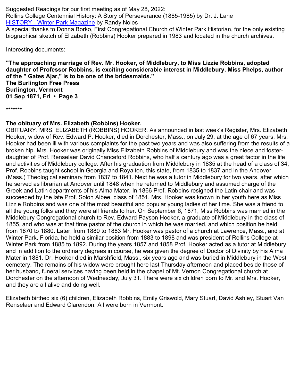Suggested Readings for our first meeting as of May 28, 2022: Rollins College Centennial History: A Story of Perseverance (1885-1985) by Dr. J. Lane [HISTORY - Winter Park Magazine](https://winterparkmag.com/history/) by Randy Noles A special thanks to Donna Borko, First Congregational Church of Winter Park Historian, for the only existing biographical sketch of Elizabeth (Robbins) Hooker prepared in 1983 and located in the church archives.

Interesting documents:

**"The approaching marriage of Rev. Mr. Hooker, of Middlebury, to Miss Lizzie Robbins, adopted daughter of Professor Robbins, is exciting considerable interest in Middlebury. Miss Phelps, author of the " Gates Ajar," is to be one of the bridesmaids." The Burlington Free Press Burlington, Vermont 01 Sep 1871, Fri • Page 3**

\*\*\*\*\*\*\*

#### **The obituary of Mrs. Elizabeth (Robbins) Hooker.**

OBITUARY. MRS. ELIZABETH (ROBBINS) HOOKER. As announced in last week's Register, Mrs. Elizabeth Hooker, widow of Rev. Edward P. Hooker, died in Dorchester, Mass., on July 29, at the age of 67 years. Mrs. Hooker had been ill with various complaints for the past two years and was also suffering from the results of a broken hip. Mrs. Hooker was originally Miss Elizabeth Robbins of Middlebury and was the niece and fosterdaughter of Prof. Renselaer David Chanceford Robbins, who half a century ago was a great factor in the life and activities of Middlebury college. After his graduation from Middlebury in 1835 at the head of a class of 34, Prof. Robbins taught school in Georgia and Royalton, this state, from 1835 to 1837 and in the Andover (Mass.) Theological seminary from 1837 to 1841. Next he was a tutor in Middlebury for two years, after which he served as librarian at Andover until 1848 when he returned to Middlebury and assumed charge of the Greek and Latin departments of his Alma Mater. In 1866 Prof. Robbins resigned the Latin chair and was succeeded by the late Prof. Solon Albee, class of 1851. Mrs. Hooker was known in her youth here as Miss Lizzie Robbins and was one of the most beautiful and popular young ladies of her time. She was a friend to all the young folks and they were all friends to her. On September 6, 1871, Miss Robbins was married in the Middlebury Congregational church to Rev. Edward Payson Hooker, a graduate of Middlebury in the class of 1855, and who was at that time pastor of the church in which he was married, and which position he held from 1870 to 1880. Later, from 1880 to 1883 Mr. Hooker was pastor of a church at Lawrence, Mass., and at Winter Park, Florida, he held a similar position from 1883 to 1898 and was president of Rollins College at Winter Park from 1885 to 1892. During the years 1857 and 1858 Prof. Hooker acted as a tutor at Middlebury and in addition to the ordinary degrees in course, he was given the degree of Doctor of Divinity by his Alma Mater in 1881. Dr. Hooker died in Marshfield, Mass., six years ago and was buried in Middlebury in the West cemetery. The remains of his widow were brought here last Thursday afternoon and placed beside those of her husband, funeral services having been held in the chapel of Mt. Vernon Congregational church at Dorchester on the afternoon of Wednesday, July 31. There were six children born to Mr. and Mrs. Hooker, and they are all alive and doing well.

Elizabeth birthed six (6) children, Elizabeth Robbins, Emily Griswold, Mary Stuart, David Ashley, Stuart Van Renselaer and Edward Clarendon. All were born in Vermont.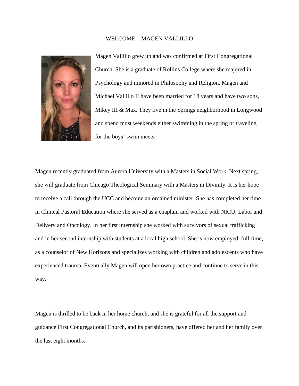#### WELCOME – MAGEN VALLILLO



Magen Vallillo grew up and was confirmed at First Congregational Church. She is a graduate of Rollins College where she majored in Psychology and minored in Philosophy and Religion. Magen and Michael Vallillo II have been married for 18 years and have two sons, Mikey III & Max. They live in the Springs neighborhood in Longwood and spend most weekends either swimming in the spring or traveling for the boys' swim meets.

Magen recently graduated from Aurora University with a Masters in Social Work. Next spring, she will graduate from Chicago Theological Seminary with a Masters in Divinity. It is her hope to receive a call through the UCC and become an ordained minister. She has completed her time in Clinical Pastoral Education where she served as a chaplain and worked with NICU, Labor and Delivery and Oncology. In her first internship she worked with survivors of sexual trafficking and in her second internship with students at a local high school. She is now employed, full-time, as a counselor of New Horizons and specializes working with children and adolescents who have experienced trauma. Eventually Magen will open her own practice and continue to serve in this way.

Magen is thrilled to be back in her home church, and she is grateful for all the support and guidance First Congregational Church, and its parishioners, have offered her and her family over the last eight months.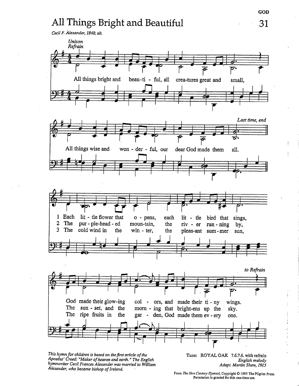# All Things Bright and Beautiful



This hymn for children is based on the first article of the Apostles' Creed: "Maker of heaven and earth." The English hymnwriter Cecil Frances Alexander was married to William Alexander, who became bishop of Ireland.

Tune: ROYAL OAK 7.6.7.6. with refrain English melody Adapt. Martin Shaw, 1915

31

From The New Century Hymnal, Copyright © 1995 The Pilgrim Press. Permission is granted for this one-time use.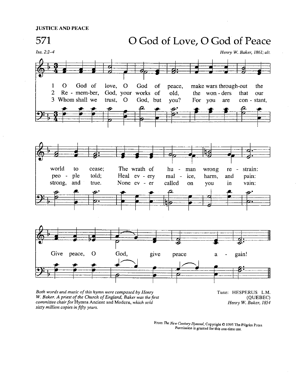

Both words and music of this hymn were composed by Henry W. Baker. A priest of the Church of England, Baker was the first committee chair for Hymns Ancient and Modern, which sold sixty million copies in fifty years.

Tune: HESPERUS L.M. (QUEBEC) Henry W. Baker, 1854

From The New Century Hymnal, Copyright © 1995 The Pilgrim Press Permission is granted for this one-time use.